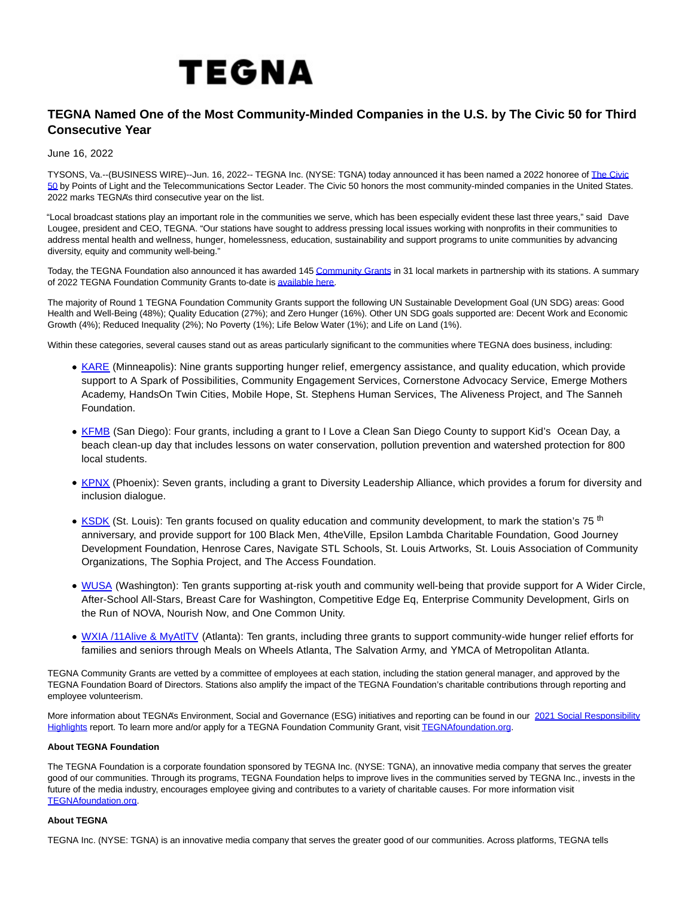## TEGNA

## **TEGNA Named One of the Most Community-Minded Companies in the U.S. by The Civic 50 for Third Consecutive Year**

June 16, 2022

TYSONS, Va.--(BUSINESS WIRE)--Jun. 16, 2022-- TEGNA Inc. (NYSE: TGNA) today announced it has been named a 2022 honoree of [The Civic](https://cts.businesswire.com/ct/CT?id=smartlink&url=https%3A%2F%2Fwww.pointsoflight.org%2Fthe-civic-50%2F&esheet=52751426&newsitemid=20220615006146&lan=en-US&anchor=The+Civic+50&index=1&md5=030a72796e50bb81554f8de2d20ad66d) 50 by Points of Light and the Telecommunications Sector Leader. The Civic 50 honors the most community-minded companies in the United States. 2022 marks TEGNA's third consecutive year on the list.

"Local broadcast stations play an important role in the communities we serve, which has been especially evident these last three years," said Dave Lougee, president and CEO, TEGNA. "Our stations have sought to address pressing local issues working with nonprofits in their communities to address mental health and wellness, hunger, homelessness, education, sustainability and support programs to unite communities by advancing diversity, equity and community well-being."

Today, the TEGNA Foundation also announced it has awarded 145 [Community Grants i](https://cts.businesswire.com/ct/CT?id=smartlink&url=https%3A%2F%2Fwww.tegnafoundation.org%2Ftfguidelines.html&esheet=52751426&newsitemid=20220615006146&lan=en-US&anchor=Community+Grants&index=2&md5=a4804d1f422921ee4ae6de3e5cc78f79)n 31 local markets in partnership with its stations. A summary of 2022 TEGNA Foundation Community Grants to-date i[s available here.](https://cts.businesswire.com/ct/CT?id=smartlink&url=https%3A%2F%2Fwww.tegnafoundation.org%2Ftfgrants2022_R1.html&esheet=52751426&newsitemid=20220615006146&lan=en-US&anchor=available+here&index=3&md5=c32d83d9c56533e7ad8344ee01de2599)

The majority of Round 1 TEGNA Foundation Community Grants support the following UN Sustainable Development Goal (UN SDG) areas: Good Health and Well-Being (48%); Quality Education (27%); and Zero Hunger (16%). Other UN SDG goals supported are: Decent Work and Economic Growth (4%); Reduced Inequality (2%); No Poverty (1%); Life Below Water (1%); and Life on Land (1%).

Within these categories, several causes stand out as areas particularly significant to the communities where TEGNA does business, including:

- [KARE \(](https://cts.businesswire.com/ct/CT?id=smartlink&url=https%3A%2F%2Fwww.kare11.com%2F&esheet=52751426&newsitemid=20220615006146&lan=en-US&anchor=KARE&index=4&md5=5726ecbd6b7945dab11dbe68d841833a)Minneapolis): Nine grants supporting hunger relief, emergency assistance, and quality education, which provide support to A Spark of Possibilities, Community Engagement Services, Cornerstone Advocacy Service, Emerge Mothers Academy, HandsOn Twin Cities, Mobile Hope, St. Stephens Human Services, The Aliveness Project, and The Sanneh Foundation.
- [KFMB \(](https://cts.businesswire.com/ct/CT?id=smartlink&url=https%3A%2F%2Fwww.cbs8.com%2F&esheet=52751426&newsitemid=20220615006146&lan=en-US&anchor=KFMB&index=5&md5=522a88673496463123665e89491464a6)San Diego): Four grants, including a grant to I Love a Clean San Diego County to support Kid's Ocean Day, a beach clean-up day that includes lessons on water conservation, pollution prevention and watershed protection for 800 local students.
- [KPNX \(](https://cts.businesswire.com/ct/CT?id=smartlink&url=https%3A%2F%2Fwww.12news.com%2F&esheet=52751426&newsitemid=20220615006146&lan=en-US&anchor=KPNX&index=6&md5=40d9c78306472e1cd998f25f107f5cb7)Phoenix): Seven grants, including a grant to Diversity Leadership Alliance, which provides a forum for diversity and inclusion dialogue.
- [KSDK \(](https://cts.businesswire.com/ct/CT?id=smartlink&url=https%3A%2F%2Fwww.ksdk.com%2F&esheet=52751426&newsitemid=20220615006146&lan=en-US&anchor=KSDK&index=7&md5=384d5f3516a60b1f7a20b4af3e3ecc35)St. Louis): Ten grants focused on quality education and community development, to mark the station's 75<sup>th</sup> anniversary, and provide support for 100 Black Men, 4theVille, Epsilon Lambda Charitable Foundation, Good Journey Development Foundation, Henrose Cares, Navigate STL Schools, St. Louis Artworks, St. Louis Association of Community Organizations, The Sophia Project, and The Access Foundation.
- . [WUSA \(](https://cts.businesswire.com/ct/CT?id=smartlink&url=https%3A%2F%2Fwww.wusa9.com%2F&esheet=52751426&newsitemid=20220615006146&lan=en-US&anchor=WUSA&index=8&md5=015330ecf00330f97df9358370d0a3bd)Washington): Ten grants supporting at-risk youth and community well-being that provide support for A Wider Circle, After-School All-Stars, Breast Care for Washington, Competitive Edge Eq, Enterprise Community Development, Girls on the Run of NOVA, Nourish Now, and One Common Unity.
- [WXIA /11Alive & MyAtlTV](https://cts.businesswire.com/ct/CT?id=smartlink&url=https%3A%2F%2Fwww.11alive.com%2F&esheet=52751426&newsitemid=20220615006146&lan=en-US&anchor=WXIA+%2F11Alive+%26amp%3B+MyAtlTV&index=9&md5=8f20ae62dd6c73921188c646f9fafe36) (Atlanta): Ten grants, including three grants to support community-wide hunger relief efforts for families and seniors through Meals on Wheels Atlanta, The Salvation Army, and YMCA of Metropolitan Atlanta.

TEGNA Community Grants are vetted by a committee of employees at each station, including the station general manager, and approved by the TEGNA Foundation Board of Directors. Stations also amplify the impact of the TEGNA Foundation's charitable contributions through reporting and employee volunteerism.

More information about TEGNA's Environment, Social and Governance (ESG) initiatives and reporting can be found in our [2021 Social Responsibility](https://cts.businesswire.com/ct/CT?id=smartlink&url=https%3A%2F%2Fwww.tegna.com%2Fcorporate-social-responsibility%2F&esheet=52751426&newsitemid=20220615006146&lan=en-US&anchor=2021+Social+Responsibility+Highlights&index=10&md5=5b7e50c2a0c9b0b79d24d096f345b38f) Highlights report. To learn more and/or apply for a TEGNA Foundation Community Grant, visi[t TEGNAfoundation.org.](https://cts.businesswire.com/ct/CT?id=smartlink&url=https%3A%2F%2Fwww.tegnafoundation.org%2F&esheet=52751426&newsitemid=20220615006146&lan=en-US&anchor=TEGNAfoundation.org&index=11&md5=11f05fc798c4b95bf5549ebc19b476f0)

## **About TEGNA Foundation**

The TEGNA Foundation is a corporate foundation sponsored by TEGNA Inc. (NYSE: TGNA), an innovative media company that serves the greater good of our communities. Through its programs, TEGNA Foundation helps to improve lives in the communities served by TEGNA Inc., invests in the future of the media industry, encourages employee giving and contributes to a variety of charitable causes. For more information visit [TEGNAfoundation.org.](https://cts.businesswire.com/ct/CT?id=smartlink&url=https%3A%2F%2Ftegnafoundation.org%2F&esheet=52751426&newsitemid=20220615006146&lan=en-US&anchor=TEGNAfoundation.org&index=12&md5=4c2e908090aef7920c8cd4a36252d19d)

## **About TEGNA**

TEGNA Inc. (NYSE: TGNA) is an innovative media company that serves the greater good of our communities. Across platforms, TEGNA tells